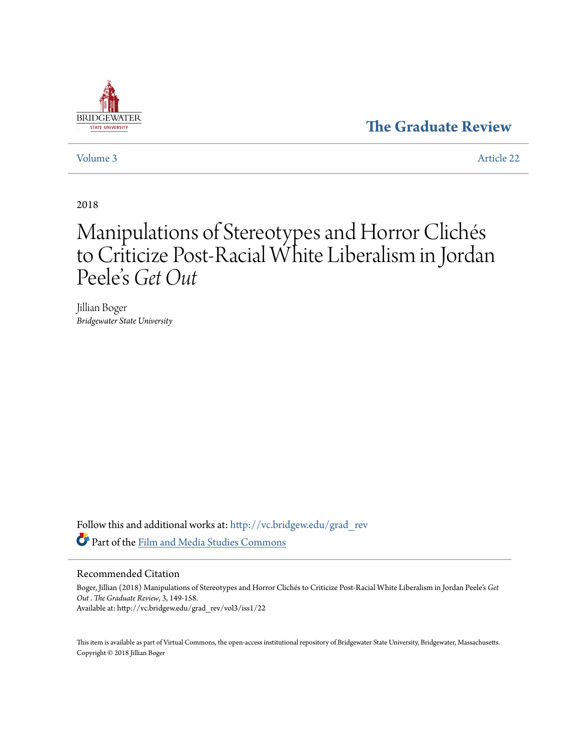### **[The Graduate Review](http://vc.bridgew.edu/grad_rev?utm_source=vc.bridgew.edu%2Fgrad_rev%2Fvol3%2Fiss1%2F22&utm_medium=PDF&utm_campaign=PDFCoverPages)**



[Volume 3](http://vc.bridgew.edu/grad_rev/vol3?utm_source=vc.bridgew.edu%2Fgrad_rev%2Fvol3%2Fiss1%2F22&utm_medium=PDF&utm_campaign=PDFCoverPages) [Article 22](http://vc.bridgew.edu/grad_rev/vol3/iss1/22?utm_source=vc.bridgew.edu%2Fgrad_rev%2Fvol3%2Fiss1%2F22&utm_medium=PDF&utm_campaign=PDFCoverPages)

2018

# Manipulations of Stereotypes and Horror Clichés to Criticize Post-Racial White Liberalism in Jordan Peele' s *Get Out*

Jillian Boger *Bridgewater State University*

Follow this and additional works at: [http://vc.bridgew.edu/grad\\_rev](http://vc.bridgew.edu/grad_rev?utm_source=vc.bridgew.edu%2Fgrad_rev%2Fvol3%2Fiss1%2F22&utm_medium=PDF&utm_campaign=PDFCoverPages) Part of the [Film and Media Studies Commons](http://network.bepress.com/hgg/discipline/563?utm_source=vc.bridgew.edu%2Fgrad_rev%2Fvol3%2Fiss1%2F22&utm_medium=PDF&utm_campaign=PDFCoverPages)

### Recommended Citation

Boger, Jillian (2018) Manipulations of Stereotypes and Horror Clichés to Criticize Post-Racial White Liberalism in Jordan Peele's *Get Out* . *The Graduate Review*, 3, 149-158. Available at: http://vc.bridgew.edu/grad\_rev/vol3/iss1/22

This item is available as part of Virtual Commons, the open-access institutional repository of Bridgewater State University, Bridgewater, Massachusetts. Copyright © 2018 Jillian Boger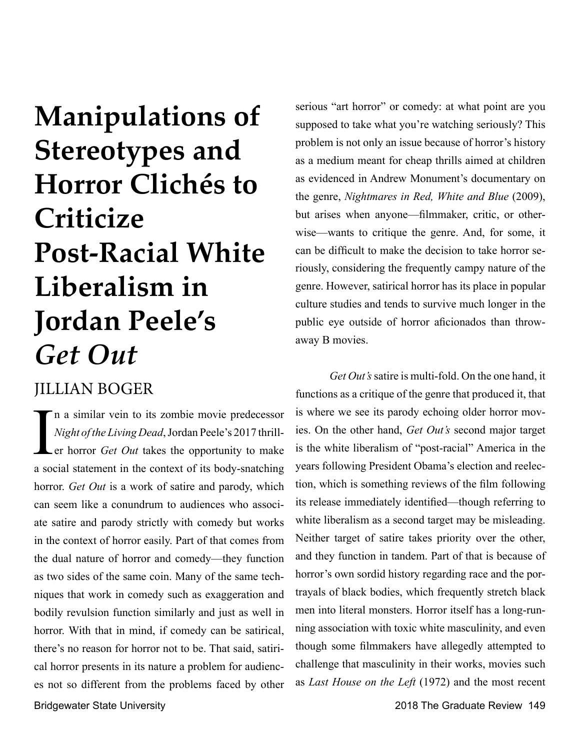# **Manipulations of Stereotypes and Horror Clichés to Criticize Post-Racial White Liberalism in Jordan Peele's**  *Get Out*

## JILLIAN BOGER

Bridgewater State University 2018 The Graduate Review 149 In a similar vein to its zombie movie predecessor<br>Night of the Living Dead, Jordan Peele's 2017 thrill-<br>er horror *Get Out* takes the opportunity to make<br>a social statement in the context of its body-snatching n a similar vein to its zombie movie predecessor *Night of the Living Dead*, Jordan Peele's 2017 thrill-Ler horror *Get Out* takes the opportunity to make horror. *Get Out* is a work of satire and parody, which can seem like a conundrum to audiences who associate satire and parody strictly with comedy but works in the context of horror easily. Part of that comes from the dual nature of horror and comedy—they function as two sides of the same coin. Many of the same techniques that work in comedy such as exaggeration and bodily revulsion function similarly and just as well in horror. With that in mind, if comedy can be satirical, there's no reason for horror not to be. That said, satirical horror presents in its nature a problem for audiences not so different from the problems faced by other

serious "art horror" or comedy: at what point are you supposed to take what you're watching seriously? This problem is not only an issue because of horror's history as a medium meant for cheap thrills aimed at children as evidenced in Andrew Monument's documentary on the genre, *Nightmares in Red, White and Blue* (2009), but arises when anyone—filmmaker, critic, or otherwise—wants to critique the genre. And, for some, it can be difficult to make the decision to take horror seriously, considering the frequently campy nature of the genre. However, satirical horror has its place in popular culture studies and tends to survive much longer in the public eye outside of horror aficionados than throwaway B movies.

*Get Out's* satire is multi-fold. On the one hand, it functions as a critique of the genre that produced it, that is where we see its parody echoing older horror movies. On the other hand, *Get Out's* second major target is the white liberalism of "post-racial" America in the years following President Obama's election and reelection, which is something reviews of the film following its release immediately identified—though referring to white liberalism as a second target may be misleading. Neither target of satire takes priority over the other, and they function in tandem. Part of that is because of horror's own sordid history regarding race and the portrayals of black bodies, which frequently stretch black men into literal monsters. Horror itself has a long-running association with toxic white masculinity, and even though some filmmakers have allegedly attempted to challenge that masculinity in their works, movies such as *Last House on the Left* (1972) and the most recent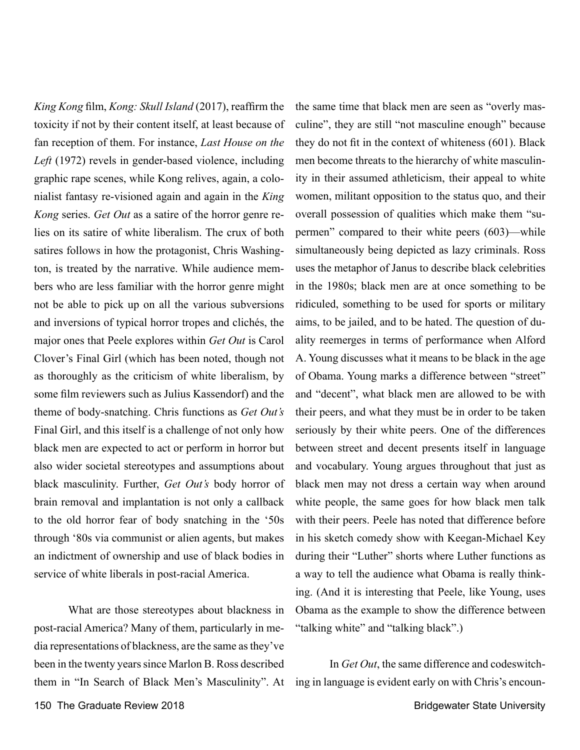*King Kong* film, *Kong: Skull Island* (2017), reaffirm the toxicity if not by their content itself, at least because of fan reception of them. For instance, *Last House on the Left* (1972) revels in gender-based violence, including graphic rape scenes, while Kong relives, again, a colonialist fantasy re-visioned again and again in the *King Kong* series. *Get Out* as a satire of the horror genre relies on its satire of white liberalism. The crux of both satires follows in how the protagonist, Chris Washington, is treated by the narrative. While audience members who are less familiar with the horror genre might not be able to pick up on all the various subversions and inversions of typical horror tropes and clichés, the major ones that Peele explores within *Get Out* is Carol Clover's Final Girl (which has been noted, though not as thoroughly as the criticism of white liberalism, by some film reviewers such as Julius Kassendorf) and the theme of body-snatching. Chris functions as *Get Out's*  Final Girl, and this itself is a challenge of not only how black men are expected to act or perform in horror but also wider societal stereotypes and assumptions about black masculinity. Further, *Get Out's* body horror of brain removal and implantation is not only a callback to the old horror fear of body snatching in the '50s through '80s via communist or alien agents, but makes an indictment of ownership and use of black bodies in service of white liberals in post-racial America.

What are those stereotypes about blackness in post-racial America? Many of them, particularly in media representations of blackness, are the same as they've been in the twenty years since Marlon B. Ross described them in "In Search of Black Men's Masculinity". At the same time that black men are seen as "overly masculine", they are still "not masculine enough" because they do not fit in the context of whiteness (601). Black men become threats to the hierarchy of white masculinity in their assumed athleticism, their appeal to white women, militant opposition to the status quo, and their overall possession of qualities which make them "supermen" compared to their white peers (603)—while simultaneously being depicted as lazy criminals. Ross uses the metaphor of Janus to describe black celebrities in the 1980s; black men are at once something to be ridiculed, something to be used for sports or military aims, to be jailed, and to be hated. The question of duality reemerges in terms of performance when Alford A. Young discusses what it means to be black in the age of Obama. Young marks a difference between "street" and "decent", what black men are allowed to be with their peers, and what they must be in order to be taken seriously by their white peers. One of the differences between street and decent presents itself in language and vocabulary. Young argues throughout that just as black men may not dress a certain way when around white people, the same goes for how black men talk with their peers. Peele has noted that difference before in his sketch comedy show with Keegan-Michael Key during their "Luther" shorts where Luther functions as a way to tell the audience what Obama is really thinking. (And it is interesting that Peele, like Young, uses Obama as the example to show the difference between "talking white" and "talking black".)

In *Get Out*, the same difference and codeswitching in language is evident early on with Chris's encoun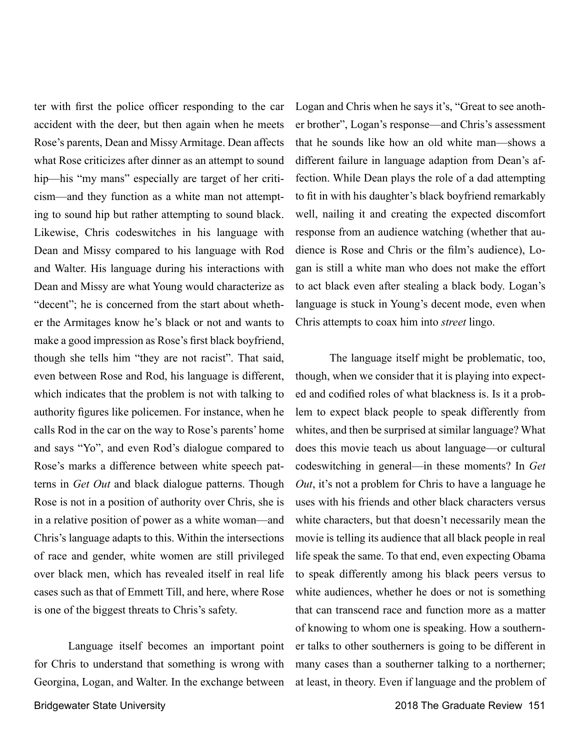ter with first the police officer responding to the car accident with the deer, but then again when he meets Rose's parents, Dean and Missy Armitage. Dean affects what Rose criticizes after dinner as an attempt to sound hip—his "my mans" especially are target of her criticism—and they function as a white man not attempting to sound hip but rather attempting to sound black. Likewise, Chris codeswitches in his language with Dean and Missy compared to his language with Rod and Walter. His language during his interactions with Dean and Missy are what Young would characterize as "decent"; he is concerned from the start about whether the Armitages know he's black or not and wants to make a good impression as Rose's first black boyfriend, though she tells him "they are not racist". That said, even between Rose and Rod, his language is different, which indicates that the problem is not with talking to authority figures like policemen. For instance, when he calls Rod in the car on the way to Rose's parents' home and says "Yo", and even Rod's dialogue compared to Rose's marks a difference between white speech patterns in *Get Out* and black dialogue patterns. Though Rose is not in a position of authority over Chris, she is in a relative position of power as a white woman—and Chris's language adapts to this. Within the intersections of race and gender, white women are still privileged over black men, which has revealed itself in real life cases such as that of Emmett Till, and here, where Rose is one of the biggest threats to Chris's safety.

Language itself becomes an important point for Chris to understand that something is wrong with Georgina, Logan, and Walter. In the exchange between

Logan and Chris when he says it's, "Great to see another brother", Logan's response—and Chris's assessment that he sounds like how an old white man—shows a different failure in language adaption from Dean's affection. While Dean plays the role of a dad attempting to fit in with his daughter's black boyfriend remarkably well, nailing it and creating the expected discomfort response from an audience watching (whether that audience is Rose and Chris or the film's audience), Logan is still a white man who does not make the effort to act black even after stealing a black body. Logan's language is stuck in Young's decent mode, even when Chris attempts to coax him into *street* lingo.

The language itself might be problematic, too, though, when we consider that it is playing into expected and codified roles of what blackness is. Is it a problem to expect black people to speak differently from whites, and then be surprised at similar language? What does this movie teach us about language—or cultural codeswitching in general—in these moments? In *Get Out*, it's not a problem for Chris to have a language he uses with his friends and other black characters versus white characters, but that doesn't necessarily mean the movie is telling its audience that all black people in real life speak the same. To that end, even expecting Obama to speak differently among his black peers versus to white audiences, whether he does or not is something that can transcend race and function more as a matter of knowing to whom one is speaking. How a southerner talks to other southerners is going to be different in many cases than a southerner talking to a northerner; at least, in theory. Even if language and the problem of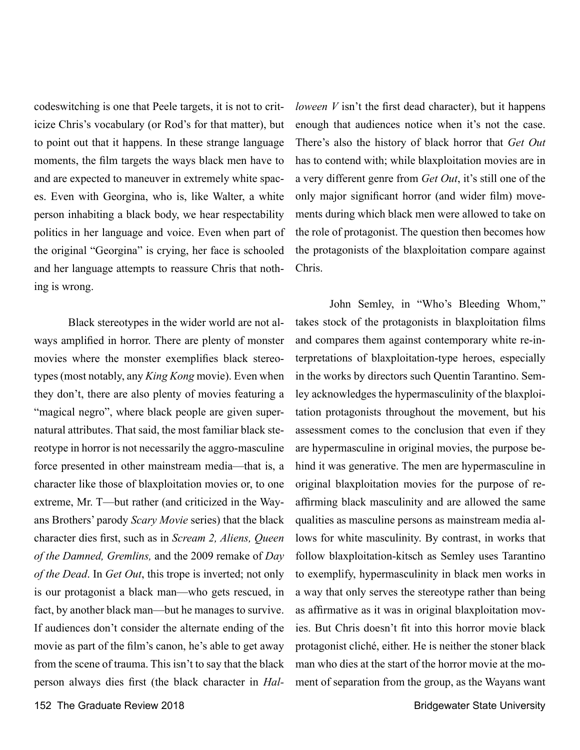codeswitching is one that Peele targets, it is not to criticize Chris's vocabulary (or Rod's for that matter), but to point out that it happens. In these strange language moments, the film targets the ways black men have to and are expected to maneuver in extremely white spaces. Even with Georgina, who is, like Walter, a white person inhabiting a black body, we hear respectability politics in her language and voice. Even when part of the original "Georgina" is crying, her face is schooled and her language attempts to reassure Chris that nothing is wrong.

Black stereotypes in the wider world are not always amplified in horror. There are plenty of monster movies where the monster exemplifies black stereotypes (most notably, any *King Kong* movie). Even when they don't, there are also plenty of movies featuring a "magical negro", where black people are given supernatural attributes. That said, the most familiar black stereotype in horror is not necessarily the aggro-masculine force presented in other mainstream media—that is, a character like those of blaxploitation movies or, to one extreme, Mr. T—but rather (and criticized in the Wayans Brothers' parody *Scary Movie* series) that the black character dies first, such as in *Scream 2, Aliens, Queen of the Damned, Gremlins,* and the 2009 remake of *Day of the Dead*. In *Get Out*, this trope is inverted; not only is our protagonist a black man—who gets rescued, in fact, by another black man—but he manages to survive. If audiences don't consider the alternate ending of the movie as part of the film's canon, he's able to get away from the scene of trauma. This isn't to say that the black person always dies first (the black character in *Hal-* *loween V* isn't the first dead character), but it happens enough that audiences notice when it's not the case. There's also the history of black horror that *Get Out*  has to contend with; while blaxploitation movies are in a very different genre from *Get Out*, it's still one of the only major significant horror (and wider film) movements during which black men were allowed to take on the role of protagonist. The question then becomes how the protagonists of the blaxploitation compare against Chris.

John Semley, in "Who's Bleeding Whom," takes stock of the protagonists in blaxploitation films and compares them against contemporary white re-interpretations of blaxploitation-type heroes, especially in the works by directors such Quentin Tarantino. Semley acknowledges the hypermasculinity of the blaxploitation protagonists throughout the movement, but his assessment comes to the conclusion that even if they are hypermasculine in original movies, the purpose behind it was generative. The men are hypermasculine in original blaxploitation movies for the purpose of reaffirming black masculinity and are allowed the same qualities as masculine persons as mainstream media allows for white masculinity. By contrast, in works that follow blaxploitation-kitsch as Semley uses Tarantino to exemplify, hypermasculinity in black men works in a way that only serves the stereotype rather than being as affirmative as it was in original blaxploitation movies. But Chris doesn't fit into this horror movie black protagonist cliché, either. He is neither the stoner black man who dies at the start of the horror movie at the moment of separation from the group, as the Wayans want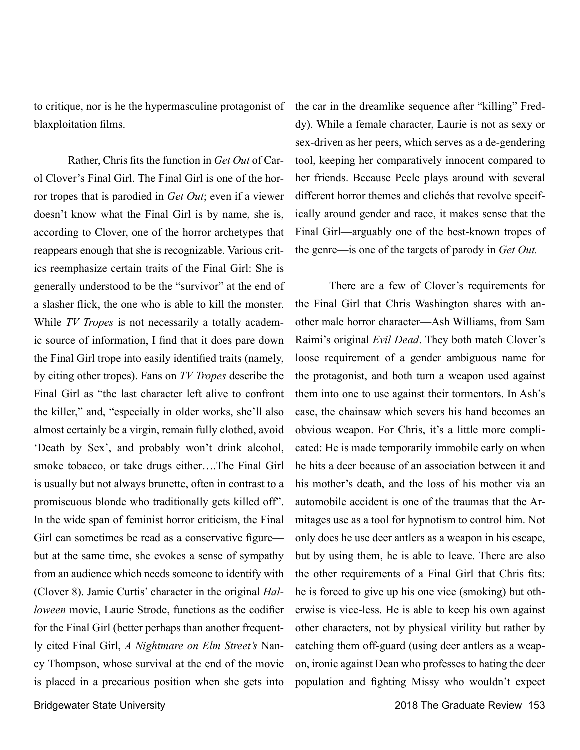to critique, nor is he the hypermasculine protagonist of blaxploitation films.

Rather, Chris fits the function in *Get Out* of Carol Clover's Final Girl. The Final Girl is one of the horror tropes that is parodied in *Get Out*; even if a viewer doesn't know what the Final Girl is by name, she is, according to Clover, one of the horror archetypes that reappears enough that she is recognizable. Various critics reemphasize certain traits of the Final Girl: She is generally understood to be the "survivor" at the end of a slasher flick, the one who is able to kill the monster. While *TV Tropes* is not necessarily a totally academic source of information, I find that it does pare down the Final Girl trope into easily identified traits (namely, by citing other tropes). Fans on *TV Tropes* describe the Final Girl as "the last character left alive to confront the killer," and, "especially in older works, she'll also almost certainly be a virgin, remain fully clothed, avoid 'Death by Sex', and probably won't drink alcohol, smoke tobacco, or take drugs either….The Final Girl is usually but not always brunette, often in contrast to a promiscuous blonde who traditionally gets killed off". In the wide span of feminist horror criticism, the Final Girl can sometimes be read as a conservative figure but at the same time, she evokes a sense of sympathy from an audience which needs someone to identify with (Clover 8). Jamie Curtis' character in the original *Halloween* movie, Laurie Strode, functions as the codifier for the Final Girl (better perhaps than another frequently cited Final Girl, *A Nightmare on Elm Street's* Nancy Thompson, whose survival at the end of the movie is placed in a precarious position when she gets into

the car in the dreamlike sequence after "killing" Freddy). While a female character, Laurie is not as sexy or sex-driven as her peers, which serves as a de-gendering tool, keeping her comparatively innocent compared to her friends. Because Peele plays around with several different horror themes and clichés that revolve specifically around gender and race, it makes sense that the Final Girl—arguably one of the best-known tropes of the genre—is one of the targets of parody in *Get Out.* 

There are a few of Clover's requirements for the Final Girl that Chris Washington shares with another male horror character—Ash Williams, from Sam Raimi's original *Evil Dead*. They both match Clover's loose requirement of a gender ambiguous name for the protagonist, and both turn a weapon used against them into one to use against their tormentors. In Ash's case, the chainsaw which severs his hand becomes an obvious weapon. For Chris, it's a little more complicated: He is made temporarily immobile early on when he hits a deer because of an association between it and his mother's death, and the loss of his mother via an automobile accident is one of the traumas that the Armitages use as a tool for hypnotism to control him. Not only does he use deer antlers as a weapon in his escape, but by using them, he is able to leave. There are also the other requirements of a Final Girl that Chris fits: he is forced to give up his one vice (smoking) but otherwise is vice-less. He is able to keep his own against other characters, not by physical virility but rather by catching them off-guard (using deer antlers as a weapon, ironic against Dean who professes to hating the deer population and fighting Missy who wouldn't expect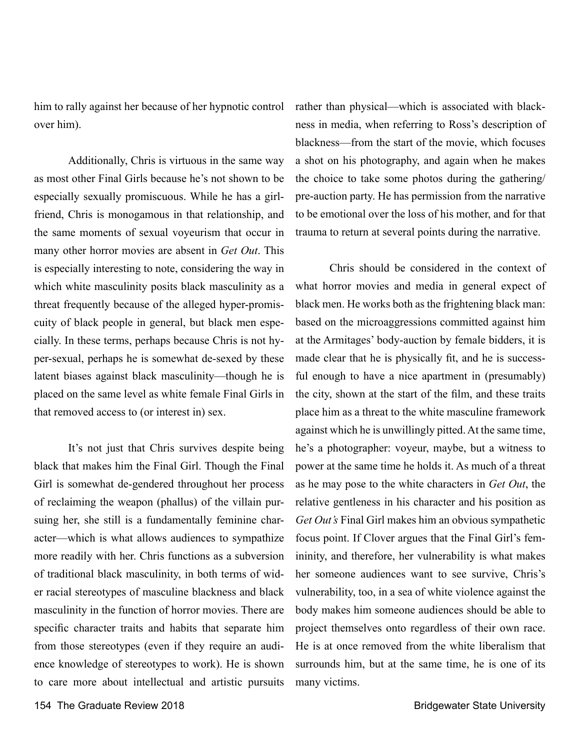him to rally against her because of her hypnotic control over him).

Additionally, Chris is virtuous in the same way as most other Final Girls because he's not shown to be especially sexually promiscuous. While he has a girlfriend, Chris is monogamous in that relationship, and the same moments of sexual voyeurism that occur in many other horror movies are absent in *Get Out*. This is especially interesting to note, considering the way in which white masculinity posits black masculinity as a threat frequently because of the alleged hyper-promiscuity of black people in general, but black men especially. In these terms, perhaps because Chris is not hyper-sexual, perhaps he is somewhat de-sexed by these latent biases against black masculinity—though he is placed on the same level as white female Final Girls in that removed access to (or interest in) sex.

It's not just that Chris survives despite being black that makes him the Final Girl. Though the Final Girl is somewhat de-gendered throughout her process of reclaiming the weapon (phallus) of the villain pursuing her, she still is a fundamentally feminine character—which is what allows audiences to sympathize more readily with her. Chris functions as a subversion of traditional black masculinity, in both terms of wider racial stereotypes of masculine blackness and black masculinity in the function of horror movies. There are specific character traits and habits that separate him from those stereotypes (even if they require an audience knowledge of stereotypes to work). He is shown to care more about intellectual and artistic pursuits rather than physical—which is associated with blackness in media, when referring to Ross's description of blackness—from the start of the movie, which focuses a shot on his photography, and again when he makes the choice to take some photos during the gathering/ pre-auction party. He has permission from the narrative to be emotional over the loss of his mother, and for that trauma to return at several points during the narrative.

Chris should be considered in the context of what horror movies and media in general expect of black men. He works both as the frightening black man: based on the microaggressions committed against him at the Armitages' body-auction by female bidders, it is made clear that he is physically fit, and he is successful enough to have a nice apartment in (presumably) the city, shown at the start of the film, and these traits place him as a threat to the white masculine framework against which he is unwillingly pitted. At the same time, he's a photographer: voyeur, maybe, but a witness to power at the same time he holds it. As much of a threat as he may pose to the white characters in *Get Out*, the relative gentleness in his character and his position as *Get Out's* Final Girl makes him an obvious sympathetic focus point. If Clover argues that the Final Girl's femininity, and therefore, her vulnerability is what makes her someone audiences want to see survive, Chris's vulnerability, too, in a sea of white violence against the body makes him someone audiences should be able to project themselves onto regardless of their own race. He is at once removed from the white liberalism that surrounds him, but at the same time, he is one of its many victims.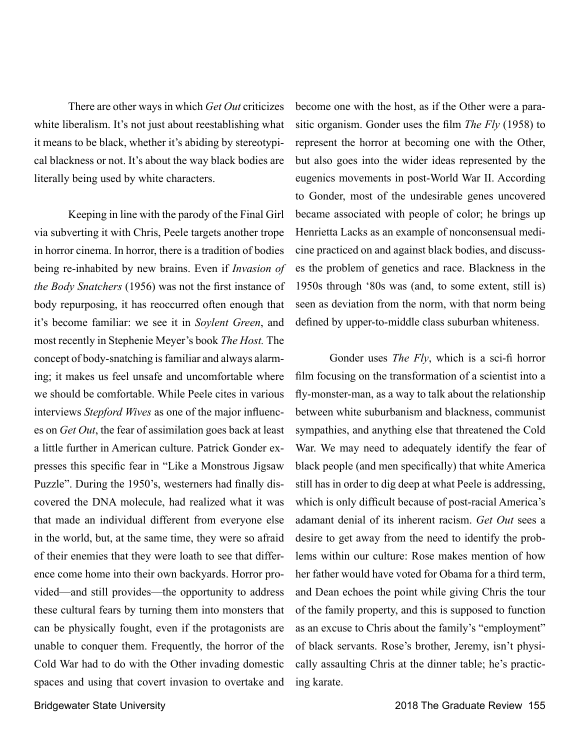There are other ways in which *Get Out* criticizes white liberalism. It's not just about reestablishing what it means to be black, whether it's abiding by stereotypical blackness or not. It's about the way black bodies are literally being used by white characters.

Keeping in line with the parody of the Final Girl via subverting it with Chris, Peele targets another trope in horror cinema. In horror, there is a tradition of bodies being re-inhabited by new brains. Even if *Invasion of the Body Snatchers* (1956) was not the first instance of body repurposing, it has reoccurred often enough that it's become familiar: we see it in *Soylent Green*, and most recently in Stephenie Meyer's book *The Host.* The concept of body-snatching is familiar and always alarming; it makes us feel unsafe and uncomfortable where we should be comfortable. While Peele cites in various interviews *Stepford Wives* as one of the major influences on *Get Out*, the fear of assimilation goes back at least a little further in American culture. Patrick Gonder expresses this specific fear in "Like a Monstrous Jigsaw Puzzle". During the 1950's, westerners had finally discovered the DNA molecule, had realized what it was that made an individual different from everyone else in the world, but, at the same time, they were so afraid of their enemies that they were loath to see that difference come home into their own backyards. Horror provided—and still provides—the opportunity to address these cultural fears by turning them into monsters that can be physically fought, even if the protagonists are unable to conquer them. Frequently, the horror of the Cold War had to do with the Other invading domestic spaces and using that covert invasion to overtake and

become one with the host, as if the Other were a parasitic organism. Gonder uses the film *The Fly* (1958) to represent the horror at becoming one with the Other, but also goes into the wider ideas represented by the eugenics movements in post-World War II. According to Gonder, most of the undesirable genes uncovered became associated with people of color; he brings up Henrietta Lacks as an example of nonconsensual medicine practiced on and against black bodies, and discusses the problem of genetics and race. Blackness in the 1950s through '80s was (and, to some extent, still is) seen as deviation from the norm, with that norm being defined by upper-to-middle class suburban whiteness.

Gonder uses *The Fly*, which is a sci-fi horror film focusing on the transformation of a scientist into a fly-monster-man, as a way to talk about the relationship between white suburbanism and blackness, communist sympathies, and anything else that threatened the Cold War. We may need to adequately identify the fear of black people (and men specifically) that white America still has in order to dig deep at what Peele is addressing, which is only difficult because of post-racial America's adamant denial of its inherent racism. *Get Out* sees a desire to get away from the need to identify the problems within our culture: Rose makes mention of how her father would have voted for Obama for a third term, and Dean echoes the point while giving Chris the tour of the family property, and this is supposed to function as an excuse to Chris about the family's "employment" of black servants. Rose's brother, Jeremy, isn't physically assaulting Chris at the dinner table; he's practicing karate.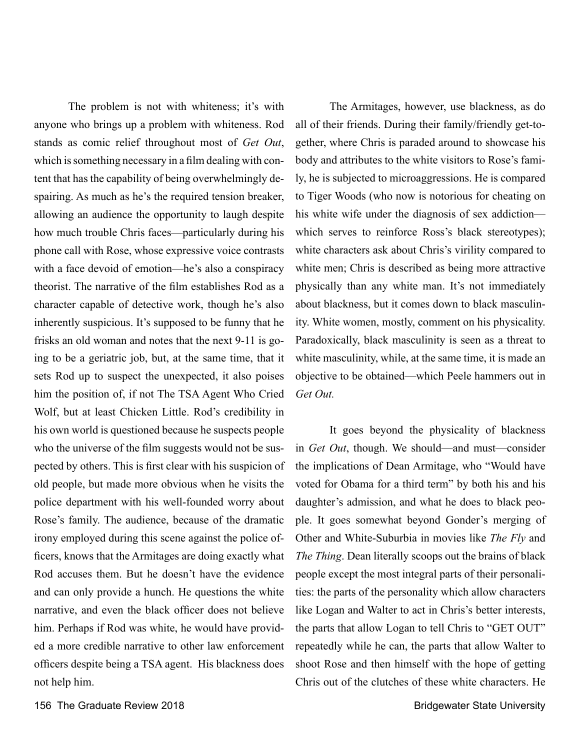The problem is not with whiteness; it's with anyone who brings up a problem with whiteness. Rod stands as comic relief throughout most of *Get Out*, which is something necessary in a film dealing with content that has the capability of being overwhelmingly despairing. As much as he's the required tension breaker, allowing an audience the opportunity to laugh despite how much trouble Chris faces—particularly during his phone call with Rose, whose expressive voice contrasts with a face devoid of emotion—he's also a conspiracy theorist. The narrative of the film establishes Rod as a character capable of detective work, though he's also inherently suspicious. It's supposed to be funny that he frisks an old woman and notes that the next 9-11 is going to be a geriatric job, but, at the same time, that it sets Rod up to suspect the unexpected, it also poises him the position of, if not The TSA Agent Who Cried Wolf, but at least Chicken Little. Rod's credibility in his own world is questioned because he suspects people who the universe of the film suggests would not be suspected by others. This is first clear with his suspicion of old people, but made more obvious when he visits the police department with his well-founded worry about Rose's family. The audience, because of the dramatic irony employed during this scene against the police officers, knows that the Armitages are doing exactly what Rod accuses them. But he doesn't have the evidence and can only provide a hunch. He questions the white narrative, and even the black officer does not believe him. Perhaps if Rod was white, he would have provided a more credible narrative to other law enforcement officers despite being a TSA agent. His blackness does not help him.

The Armitages, however, use blackness, as do all of their friends. During their family/friendly get-together, where Chris is paraded around to showcase his body and attributes to the white visitors to Rose's family, he is subjected to microaggressions. He is compared to Tiger Woods (who now is notorious for cheating on his white wife under the diagnosis of sex addiction which serves to reinforce Ross's black stereotypes); white characters ask about Chris's virility compared to white men; Chris is described as being more attractive physically than any white man. It's not immediately about blackness, but it comes down to black masculinity. White women, mostly, comment on his physicality. Paradoxically, black masculinity is seen as a threat to white masculinity, while, at the same time, it is made an objective to be obtained—which Peele hammers out in *Get Out.*

It goes beyond the physicality of blackness in *Get Out*, though. We should—and must—consider the implications of Dean Armitage, who "Would have voted for Obama for a third term" by both his and his daughter's admission, and what he does to black people. It goes somewhat beyond Gonder's merging of Other and White-Suburbia in movies like *The Fly* and *The Thing*. Dean literally scoops out the brains of black people except the most integral parts of their personalities: the parts of the personality which allow characters like Logan and Walter to act in Chris's better interests, the parts that allow Logan to tell Chris to "GET OUT" repeatedly while he can, the parts that allow Walter to shoot Rose and then himself with the hope of getting Chris out of the clutches of these white characters. He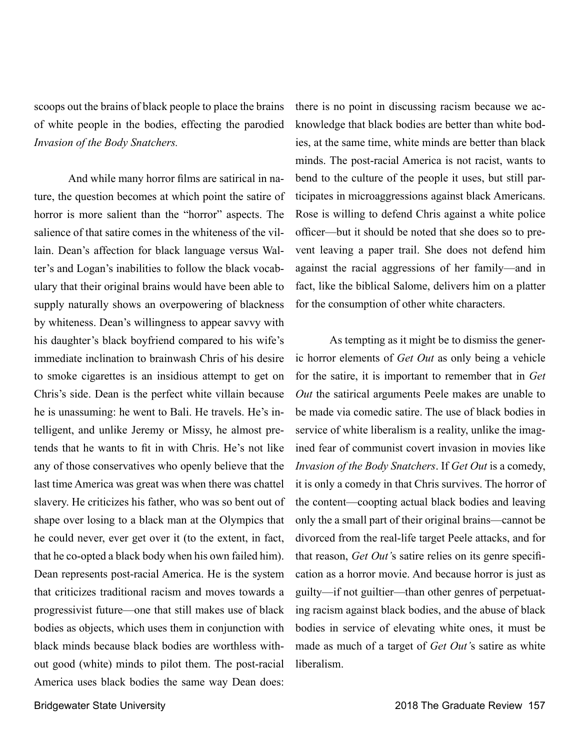scoops out the brains of black people to place the brains of white people in the bodies, effecting the parodied *Invasion of the Body Snatchers.* 

And while many horror films are satirical in nature, the question becomes at which point the satire of horror is more salient than the "horror" aspects. The salience of that satire comes in the whiteness of the villain. Dean's affection for black language versus Walter's and Logan's inabilities to follow the black vocabulary that their original brains would have been able to supply naturally shows an overpowering of blackness by whiteness. Dean's willingness to appear savvy with his daughter's black boyfriend compared to his wife's immediate inclination to brainwash Chris of his desire to smoke cigarettes is an insidious attempt to get on Chris's side. Dean is the perfect white villain because he is unassuming: he went to Bali. He travels. He's intelligent, and unlike Jeremy or Missy, he almost pretends that he wants to fit in with Chris. He's not like any of those conservatives who openly believe that the last time America was great was when there was chattel slavery. He criticizes his father, who was so bent out of shape over losing to a black man at the Olympics that he could never, ever get over it (to the extent, in fact, that he co-opted a black body when his own failed him). Dean represents post-racial America. He is the system that criticizes traditional racism and moves towards a progressivist future—one that still makes use of black bodies as objects, which uses them in conjunction with black minds because black bodies are worthless without good (white) minds to pilot them. The post-racial America uses black bodies the same way Dean does:

there is no point in discussing racism because we acknowledge that black bodies are better than white bodies, at the same time, white minds are better than black minds. The post-racial America is not racist, wants to bend to the culture of the people it uses, but still participates in microaggressions against black Americans. Rose is willing to defend Chris against a white police officer—but it should be noted that she does so to prevent leaving a paper trail. She does not defend him against the racial aggressions of her family—and in fact, like the biblical Salome, delivers him on a platter for the consumption of other white characters.

As tempting as it might be to dismiss the generic horror elements of *Get Out* as only being a vehicle for the satire, it is important to remember that in *Get Out* the satirical arguments Peele makes are unable to be made via comedic satire. The use of black bodies in service of white liberalism is a reality, unlike the imagined fear of communist covert invasion in movies like *Invasion of the Body Snatchers*. If *Get Out* is a comedy, it is only a comedy in that Chris survives. The horror of the content—coopting actual black bodies and leaving only the a small part of their original brains—cannot be divorced from the real-life target Peele attacks, and for that reason, *Get Out'*s satire relies on its genre specification as a horror movie. And because horror is just as guilty—if not guiltier—than other genres of perpetuating racism against black bodies, and the abuse of black bodies in service of elevating white ones, it must be made as much of a target of *Get Out'*s satire as white liberalism.